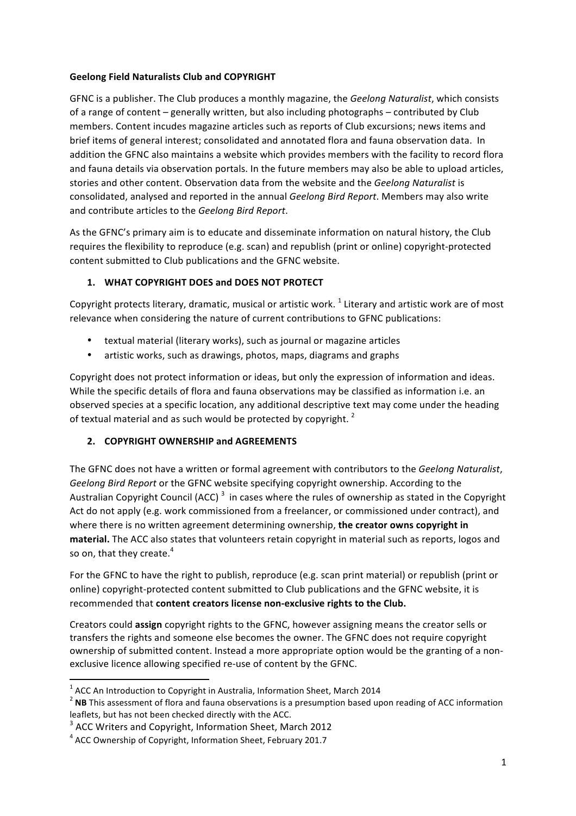# **Geelong Field Naturalists Club and COPYRIGHT**

GFNC is a publisher. The Club produces a monthly magazine, the *Geelong Naturalist*, which consists of a range of content – generally written, but also including photographs – contributed by Club members. Content incudes magazine articles such as reports of Club excursions; news items and brief items of general interest; consolidated and annotated flora and fauna observation data. In addition the GFNC also maintains a website which provides members with the facility to record flora and fauna details via observation portals. In the future members may also be able to upload articles, stories and other content. Observation data from the website and the *Geelong Naturalist* is consolidated, analysed and reported in the annual *Geelong Bird Report*. Members may also write and contribute articles to the *Geelong Bird Report*.

As the GFNC's primary aim is to educate and disseminate information on natural history, the Club requires the flexibility to reproduce (e.g. scan) and republish (print or online) copyright-protected content submitted to Club publications and the GFNC website.

# 1. **WHAT COPYRIGHT DOES and DOES NOT PROTECT**

Copyright protects literary, dramatic, musical or artistic work.  $1$  Literary and artistic work are of most relevance when considering the nature of current contributions to GFNC publications:

- textual material (literary works), such as journal or magazine articles
- artistic works, such as drawings, photos, maps, diagrams and graphs

Copyright does not protect information or ideas, but only the expression of information and ideas. While the specific details of flora and fauna observations may be classified as information i.e. an observed species at a specific location, any additional descriptive text may come under the heading of textual material and as such would be protected by copyright.  $2^2$ 

# **2. COPYRIGHT OWNERSHIP and AGREEMENTS**

The GFNC does not have a written or formal agreement with contributors to the *Geelong Naturalist*, Geelong Bird Report or the GFNC website specifying copyright ownership. According to the Australian Copyright Council (ACC)<sup>3</sup> in cases where the rules of ownership as stated in the Copyright Act do not apply (e.g. work commissioned from a freelancer, or commissioned under contract), and where there is no written agreement determining ownership, the creator owns copyright in material. The ACC also states that volunteers retain copyright in material such as reports, logos and so on, that they create. $4$ 

For the GFNC to have the right to publish, reproduce (e.g. scan print material) or republish (print or online) copyright-protected content submitted to Club publications and the GFNC website, it is recommended that **content creators license non-exclusive rights to the Club.** 

Creators could **assign** copyright rights to the GFNC, however assigning means the creator sells or transfers the rights and someone else becomes the owner. The GFNC does not require copyright ownership of submitted content. Instead a more appropriate option would be the granting of a nonexclusive licence allowing specified re-use of content by the GFNC.

<u> 1989 - Jan Samuel Barbara, margaret e</u>

<sup>&</sup>lt;sup>1</sup> ACC An Introduction to Copyright in Australia, Information Sheet, March 2014 2014 2 **NB** This assessment of flora and fauna observations is a presumption based upon reading of ACC information leaflets, but has not been checked directly with the ACC.

 $3$  ACC Writers and Copyright, Information Sheet, March 2012

 $4$  ACC Ownership of Copyright, Information Sheet, February 201.7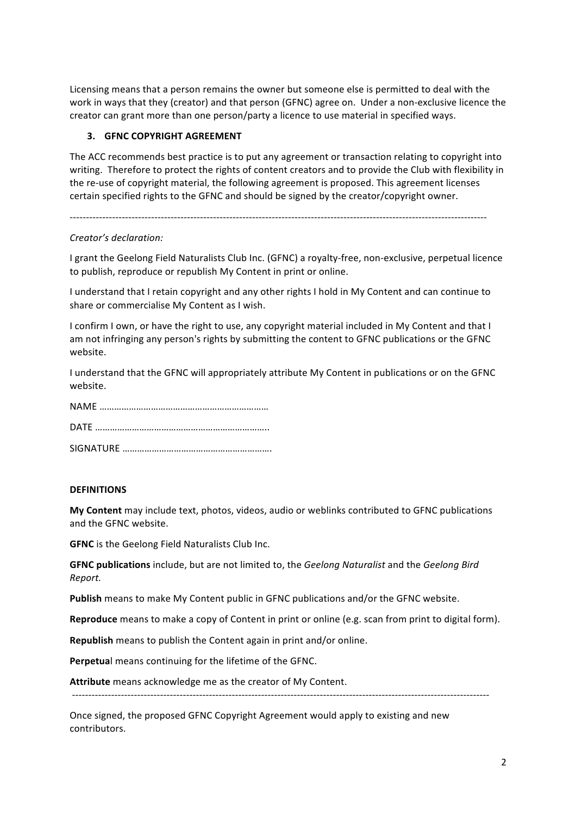Licensing means that a person remains the owner but someone else is permitted to deal with the work in ways that they (creator) and that person (GFNC) agree on. Under a non-exclusive licence the creator can grant more than one person/party a licence to use material in specified ways.

### **3. GFNC COPYRIGHT AGREEMENT**

The ACC recommends best practice is to put any agreement or transaction relating to copyright into writing. Therefore to protect the rights of content creators and to provide the Club with flexibility in the re-use of copyright material, the following agreement is proposed. This agreement licenses certain specified rights to the GFNC and should be signed by the creator/copyright owner.

--------------------------------------------------------------------------------------------------------------------------------

#### *Creator's declaration:*

I grant the Geelong Field Naturalists Club Inc. (GFNC) a royalty-free, non-exclusive, perpetual licence to publish, reproduce or republish My Content in print or online.

I understand that I retain copyright and any other rights I hold in My Content and can continue to share or commercialise My Content as I wish.

I confirm I own, or have the right to use, any copyright material included in My Content and that I am not infringing any person's rights by submitting the content to GFNC publications or the GFNC website. 

I understand that the GFNC will appropriately attribute My Content in publications or on the GFNC website.

#### **DEFINITIONS**

My Content may include text, photos, videos, audio or weblinks contributed to GFNC publications and the GFNC website.

**GFNC** is the Geelong Field Naturalists Club Inc.

**GFNC publications** include, but are not limited to, the *Geelong Naturalist* and the *Geelong Bird Report.*

Publish means to make My Content public in GFNC publications and/or the GFNC website.

**Reproduce** means to make a copy of Content in print or online (e.g. scan from print to digital form).

--------------------------------------------------------------------------------------------------------------------------------

**Republish** means to publish the Content again in print and/or online.

**Perpetual** means continuing for the lifetime of the GFNC.

**Attribute** means acknowledge me as the creator of My Content.

Once signed, the proposed GFNC Copyright Agreement would apply to existing and new contributors.